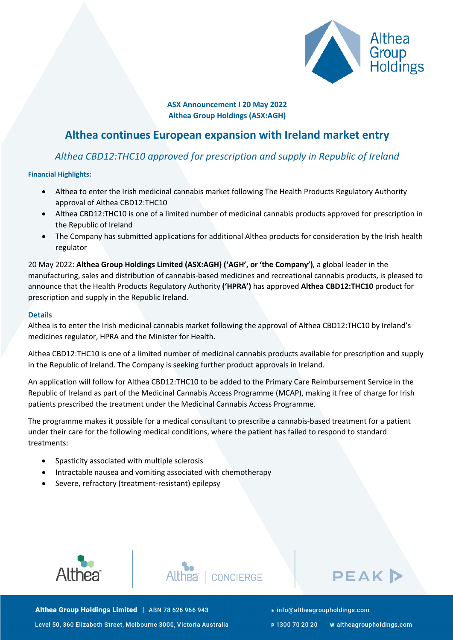

**ASX Announcement I 20 May 2022 Althea Group Holdings (ASX:AGH)**

# **Althea continues European expansion with Ireland market entry**

## *Althea CBD12:THC10 approved for prescription and supply in Republic of Ireland*

## **Financial Highlights:**

- Althea to enter the Irish medicinal cannabis market following The Health Products Regulatory Authority approval of Althea CBD12:THC10
- Althea CBD12:THC10 is one of a limited number of medicinal cannabis products approved for prescription in the Republic of Ireland
- The Company has submitted applications for additional Althea products for consideration by the Irish health regulator

20 May 2022: **Althea Group Holdings Limited (ASX:AGH) ('AGH', or 'the Company')**, a global leader in the manufacturing, sales and distribution of cannabis-based medicines and recreational cannabis products, is pleased to announce that the Health Products Regulatory Authority **('HPRA')** has approved **Althea CBD12:THC10** product for prescription and supply in the Republic Ireland.

## **Details**

Althea is to enter the Irish medicinal cannabis market following the approval of Althea CBD12:THC10 by Ireland's medicines regulator, HPRA and the Minister for Health.

Althea CBD12:THC10 is one of a limited number of medicinal cannabis products available for prescription and supply in the Republic of Ireland. The Company is seeking further product approvals in Ireland.

An application will follow for Althea CBD12:THC10 to be added to the Primary Care Reimbursement Service in the Republic of Ireland as part of the Medicinal Cannabis Access Programme (MCAP), making it free of charge for Irish patients prescribed the treatment under the Medicinal Cannabis Access Programme.

The programme makes it possible for a medical consultant to prescribe a cannabis-based treatment for a patient under their care for the following medical conditions, where the patient has failed to respond to standard treatments:

- Spasticity associated with multiple sclerosis
- Intractable nausea and vomiting associated with chemotherapy
- Severe, refractory (treatment-resistant) epilepsy







Althea Group Holdings Limited | ABN 78 626 966 943 Level 50, 360 Elizabeth Street, Melbourne 3000, Victoria Australia E info@altheagroupholdings.com

P 1300 70 20 20 w altheagroupholdings.com